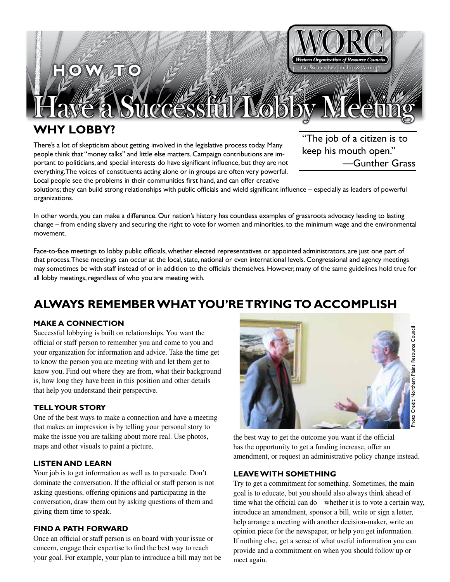

# **WHY LOBBY?**

There's a lot of skepticism about getting involved in the legislative process today. Many people think that "money talks" and little else matters. Campaign contributions are important to politicians, and special interests do have significant influence, but they are not everything. The voices of constituents acting alone or in groups are often very powerful. Local people see the problems in their communities first hand, and can offer creative

"The job of a citizen is to keep his mouth open." —Gunther Grass

solutions; they can build strong relationships with public officials and wield significant influence – especially as leaders of powerful organizations.

In other words, you can make a difference. Our nation's history has countless examples of grassroots advocacy leading to lasting change – from ending slavery and securing the right to vote for women and minorities, to the minimum wage and the environmental movement.

Face-to-face meetings to lobby public officials, whether elected representatives or appointed administrators, are just one part of that process. These meetings can occur at the local, state, national or even international levels. Congressional and agency meetings may sometimes be with staff instead of or in addition to the officials themselves. However, many of the same guidelines hold true for all lobby meetings, regardless of who you are meeting with.

# **ALWAYS REMEMBER WHAT YOU'RE TRYING TO ACCOMPLISH**

### **MAKE A CONNECTION**

Successful lobbying is built on relationships. You want the official or staff person to remember you and come to you and your organization for information and advice. Take the time get to know the person you are meeting with and let them get to know you. Find out where they are from, what their background is, how long they have been in this position and other details that help you understand their perspective.

### **TELL YOUR STORY**

One of the best ways to make a connection and have a meeting that makes an impression is by telling your personal story to make the issue you are talking about more real. Use photos, maps and other visuals to paint a picture.

### **LISTEN AND LEARN**

Your job is to get information as well as to persuade. Don't dominate the conversation. If the official or staff person is not asking questions, offering opinions and participating in the conversation, draw them out by asking questions of them and giving them time to speak.

#### **FIND A PATH FORWARD**

Once an official or staff person is on board with your issue or concern, engage their expertise to find the best way to reach your goal. For example, your plan to introduce a bill may not be



the best way to get the outcome you want if the official has the opportunity to get a funding increase, offer an amendment, or request an administrative policy change instead.

#### **LEAVE WITH SOMETHING**

Try to get a commitment for something. Sometimes, the main goal is to educate, but you should also always think ahead of time what the official can do – whether it is to vote a certain way, introduce an amendment, sponsor a bill, write or sign a letter, help arrange a meeting with another decision-maker, write an opinion piece for the newspaper, or help you get information. If nothing else, get a sense of what useful information you can provide and a commitment on when you should follow up or meet again.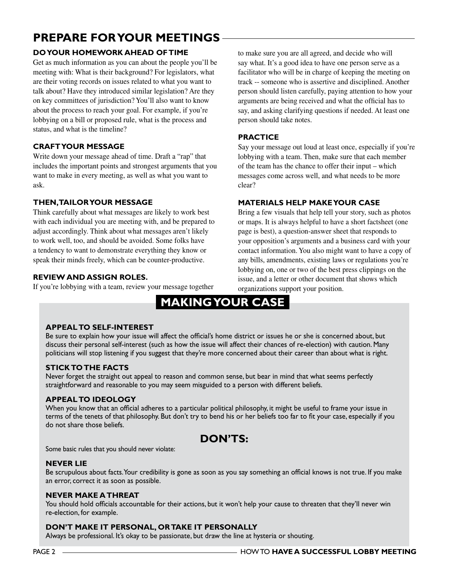# **PREPARE FOR YOUR MEETINGS**

# **DO YOUR HOMEWORK AHEAD OF TIME**

Get as much information as you can about the people you'll be meeting with: What is their background? For legislators, what are their voting records on issues related to what you want to talk about? Have they introduced similar legislation? Are they on key committees of jurisdiction? You'll also want to know about the process to reach your goal. For example, if you're lobbying on a bill or proposed rule, what is the process and status, and what is the timeline?

### **CRAFT YOUR MESSAGE**

Write down your message ahead of time. Draft a "rap" that includes the important points and strongest arguments that you want to make in every meeting, as well as what you want to ask.

## **THEN, TAILOR YOUR MESSAGE**

Think carefully about what messages are likely to work best with each individual you are meeting with, and be prepared to adjust accordingly. Think about what messages aren't likely to work well, too, and should be avoided. Some folks have a tendency to want to demonstrate everything they know or speak their minds freely, which can be counter-productive.

## **REVIEW AND ASSIGN ROLES.**

If you're lobbying with a team, review your message together

to make sure you are all agreed, and decide who will say what. It's a good idea to have one person serve as a facilitator who will be in charge of keeping the meeting on track -- someone who is assertive and disciplined. Another person should listen carefully, paying attention to how your arguments are being received and what the official has to say, and asking clarifying questions if needed. At least one person should take notes.

### **PRACTICE**

Say your message out loud at least once, especially if you're lobbying with a team. Then, make sure that each member of the team has the chance to offer their input – which messages come across well, and what needs to be more clear?

### **MATERIALS HELP MAKE YOUR CASE**

Bring a few visuals that help tell your story, such as photos or maps. It is always helpful to have a short factsheet (one page is best), a question-answer sheet that responds to your opposition's arguments and a business card with your contact information. You also might want to have a copy of any bills, amendments, existing laws or regulations you're lobbying on, one or two of the best press clippings on the issue, and a letter or other document that shows which organizations support your position.

# **MAKING YOUR CASE**

#### **APPEAL TO SELF-INTEREST**

Be sure to explain how your issue will affect the official's home district or issues he or she is concerned about, but discuss their personal self-interest (such as how the issue will affect their chances of re-election) with caution. Many politicians will stop listening if you suggest that they're more concerned about their career than about what is right.

### **STICK TO THE FACTS**

Never forget the straight out appeal to reason and common sense, but bear in mind that what seems perfectly straightforward and reasonable to you may seem misguided to a person with different beliefs.

### **APPEAL TO IDEOLOGY**

When you know that an official adheres to a particular political philosophy, it might be useful to frame your issue in terms of the tenets of that philosophy. But don't try to bend his or her beliefs too far to fit your case, especially if you do not share those beliefs.

# **DON'TS:**

Some basic rules that you should never violate:

### **NEVER LIE**

Be scrupulous about facts. Your credibility is gone as soon as you say something an official knows is not true. If you make an error, correct it as soon as possible.

#### **NEVER MAKE A THREAT**

You should hold officials accountable for their actions, but it won't help your cause to threaten that they'll never win re-election, for example.

### **DON'T MAKE IT PERSONAL, OR TAKE IT PERSONALLY**

Always be professional. It's okay to be passionate, but draw the line at hysteria or shouting.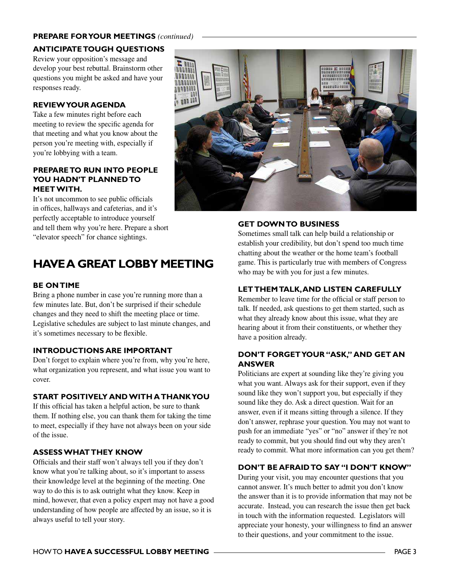### **PREPARE FOR YOUR MEETINGS** *(continued)*

### **ANTICIPATE TOUGH QUESTIONS**

Review your opposition's message and develop your best rebuttal. Brainstorm other questions you might be asked and have your responses ready.

### **REVIEW YOUR AGENDA**

Take a few minutes right before each meeting to review the specific agenda for that meeting and what you know about the person you're meeting with, especially if you're lobbying with a team.

### **PREPARE TO RUN INTO PEOPLE YOU HADN'T PLANNED TO MEET WITH.**

It's not uncommon to see public officials in offices, hallways and cafeterias, and it's perfectly acceptable to introduce yourself and tell them why you're here. Prepare a short "elevator speech" for chance sightings.

# **HAVE A GREAT LOBBY MEETING**

### **BE ON TIME**

Bring a phone number in case you're running more than a few minutes late. But, don't be surprised if their schedule changes and they need to shift the meeting place or time. Legislative schedules are subject to last minute changes, and it's sometimes necessary to be flexible.

### **INTRODUCTIONS ARE IMPORTANT**

Don't forget to explain where you're from, why you're here, what organization you represent, and what issue you want to cover.

### **START POSITIVELY AND WITH A THANK YOU**

If this official has taken a helpful action, be sure to thank them. If nothing else, you can thank them for taking the time to meet, especially if they have not always been on your side of the issue.

### **ASSESS WHAT THEY KNOW**

Officials and their staff won't always tell you if they don't know what you're talking about, so it's important to assess their knowledge level at the beginning of the meeting. One way to do this is to ask outright what they know. Keep in mind, however, that even a policy expert may not have a good understanding of how people are affected by an issue, so it is always useful to tell your story.



### **GET DOWN TO BUSINESS**

Sometimes small talk can help build a relationship or establish your credibility, but don't spend too much time chatting about the weather or the home team's football game. This is particularly true with members of Congress who may be with you for just a few minutes.

#### **LET THEM TALK, AND LISTEN CAREFULLY**

Remember to leave time for the official or staff person to talk. If needed, ask questions to get them started, such as what they already know about this issue, what they are hearing about it from their constituents, or whether they have a position already.

### **DON'T FORGET YOUR "ASK," AND GET AN ANSWER**

Politicians are expert at sounding like they're giving you what you want. Always ask for their support, even if they sound like they won't support you, but especially if they sound like they do. Ask a direct question. Wait for an answer, even if it means sitting through a silence. If they don't answer, rephrase your question. You may not want to push for an immediate "yes" or "no" answer if they're not ready to commit, but you should find out why they aren't ready to commit. What more information can you get them?

### **DON'T BE AFRAID TO SAY "I DON'T KNOW"**

During your visit, you may encounter questions that you cannot answer. It's much better to admit you don't know the answer than it is to provide information that may not be accurate. Instead, you can research the issue then get back in touch with the information requested. Legislators will appreciate your honesty, your willingness to find an answer to their questions, and your commitment to the issue.